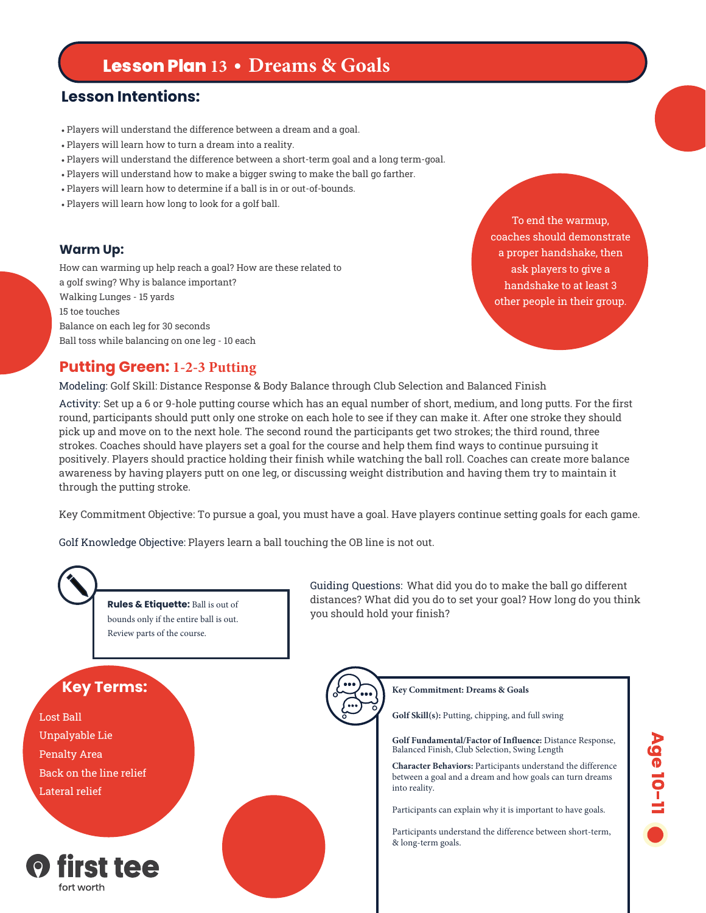# **Lesson Plan 13 • Dreams & Goals**

# **Lesson Intentions:**

- Players will understand the difference between a dream and a goal.
- Players will learn how to turn a dream into a reality.
- Players will understand the difference between a short-term goal and a long term-goal.
- Players will understand how to make a bigger swing to make the ball go farther.
- Players will learn how to determine if a ball is in or out-of-bounds.
- Players will learn how long to look for a golf ball.

### **Warm Up:**

How can warming up help reach a goal? How are these related to a golf swing? Why is balance important? Walking Lunges - 15 yards 15 toe touches Balance on each leg for 30 seconds Ball toss while balancing on one leg - 10 each

To end the warmup, coaches should demonstrate a proper handshake, then ask players to give a handshake to at least 3 other people in their group.

### **Putting Green: 1-2-3 Putting**

Modeling: Golf Skill: Distance Response & Body Balance through Club Selection and Balanced Finish

Activity: Set up a 6 or 9-hole putting course which has an equal number of short, medium, and long putts. For the first round, participants should putt only one stroke on each hole to see if they can make it. After one stroke they should pick up and move on to the next hole. The second round the participants get two strokes; the third round, three strokes. Coaches should have players set a goal for the course and help them find ways to continue pursuing it positively. Players should practice holding their finish while watching the ball roll. Coaches can create more balance awareness by having players putt on one leg, or discussing weight distribution and having them try to maintain it through the putting stroke.

Key Commitment Objective: To pursue a goal, you must have a goal. Have players continue setting goals for each game.

Golf Knowledge Objective: Players learn a ball touching the OB line is not out.



**Rules & Etiquette:** Ball is out of bounds only if the entire ball is out. Review parts of the course.

Guiding Questions: What did you do to make the ball go different distances? What did you do to set your goal? How long do you think you should hold your finish?



Lost Ball Unpalyable Lie Penalty Area Back on the line relief Lateral relief



**Key Commitment: Dreams & Goals Golf Skill(s):** Putting, chipping, and full swing

**Golf Fundamental/Factor of Influence:** Distance Response, Balanced Finish, Club Selection, Swing Length

**Character Behaviors:** Participants understand the difference between a goal and a dream and how goals can turn dreams into reality.

Participants can explain why it is important to have goals.

Participants understand the difference between short-term, & long-term goals.